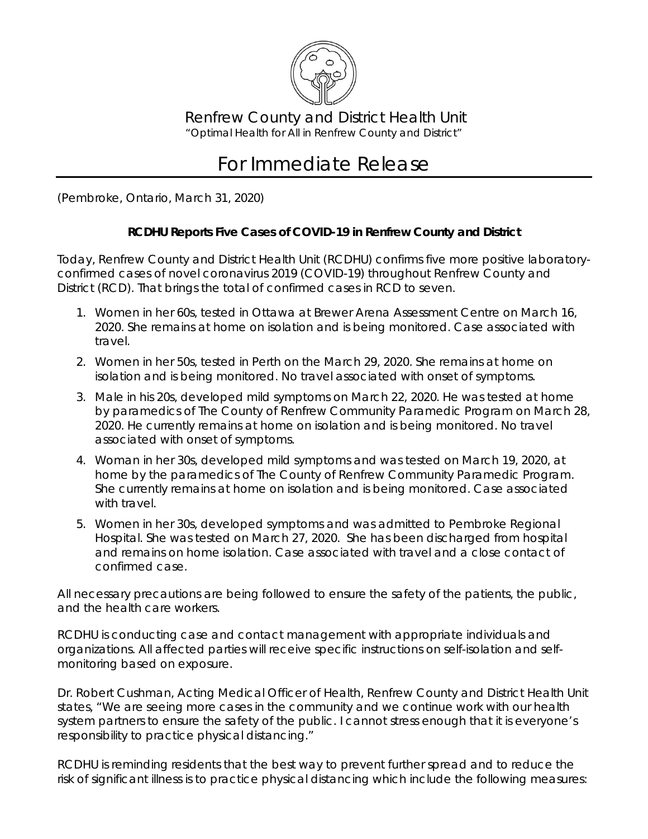

Renfrew County and District Health Unit *"Optimal Health for All in Renfrew County and District"*

## For Immediate Release

(Pembroke, Ontario, March 31, 2020)

## **RCDHU Reports Five Cases of COVID-19 in Renfrew County and District**

Today, Renfrew County and District Health Unit (RCDHU) confirms five more positive laboratoryconfirmed cases of novel coronavirus 2019 (COVID-19) throughout Renfrew County and District (RCD). That brings the total of confirmed cases in RCD to seven.

- 1. Women in her 60s, tested in Ottawa at Brewer Arena Assessment Centre on March 16, 2020. She remains at home on isolation and is being monitored. Case associated with travel.
- 2. Women in her 50s, tested in Perth on the March 29, 2020. She remains at home on isolation and is being monitored. No travel associated with onset of symptoms.
- 3. Male in his 20s, developed mild symptoms on March 22, 2020. He was tested at home by paramedics of The County of Renfrew Community Paramedic Program on March 28, 2020. He currently remains at home on isolation and is being monitored. No travel associated with onset of symptoms.
- 4. Woman in her 30s, developed mild symptoms and was tested on March 19, 2020, at home by the paramedics of The County of Renfrew Community Paramedic Program. She currently remains at home on isolation and is being monitored. Case associated with travel.
- 5. Women in her 30s, developed symptoms and was admitted to Pembroke Regional Hospital. She was tested on March 27, 2020. She has been discharged from hospital and remains on home isolation. Case associated with travel and a close contact of confirmed case.

All necessary precautions are being followed to ensure the safety of the patients, the public, and the health care workers.

RCDHU is conducting case and contact management with appropriate individuals and organizations. All affected parties will receive specific instructions on self-isolation and selfmonitoring based on exposure.

Dr. Robert Cushman, Acting Medical Officer of Health, Renfrew County and District Health Unit states, "We are seeing more cases in the community and we continue work with our health system partners to ensure the safety of the public. I cannot stress enough that it is everyone's responsibility to practice physical distancing."

RCDHU is reminding residents that the best way to prevent further spread and to reduce the risk of significant illness is to practice physical distancing which include the following measures: